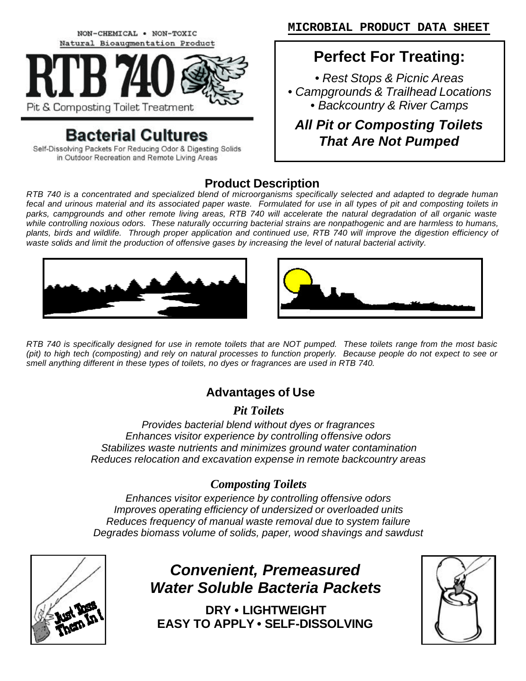NON-CHEMICAL . NON-TOXIC Natural Bioaugmentation Product



# **Bacterial Cultures**

Self-Dissolving Packets For Reducing Odor & Digesting Solids in Outdoor Recreation and Remote Living Areas

# **Perfect For Treating:**

*• Rest Stops & Picnic Areas • Campgrounds & Trailhead Locations • Backcountry & River Camps*

*All Pit or Composting Toilets That Are Not Pumped*

## **Product Description**

*RTB 740 is a concentrated and specialized blend of microorganisms specifically selected and adapted to degrade human fecal and urinous material and its associated paper waste. Formulated for use in all types of pit and composting toilets in*  parks, campgrounds and other remote living areas, RTB 740 will accelerate the natural degradation of all organic waste *while controlling noxious odors. These naturally occurring bacterial strains are nonpathogenic and are harmless to humans, plants, birds and wildlife. Through proper application and continued use, RTB 740 will improve the digestion efficiency of waste solids and limit the production of offensive gases by increasing the level of natural bacterial activity.*





*RTB 740 is specifically designed for use in remote toilets that are NOT pumped. These toilets range from the most basic (pit) to high tech (composting) and rely on natural processes to function properly. Because people do not expect to see or smell anything different in these types of toilets, no dyes or fragrances are used in RTB 740.*

## **Advantages of Use**

*Pit Toilets*

*Provides bacterial blend without dyes or fragrances Enhances visitor experience by controlling offensive odors Stabilizes waste nutrients and minimizes ground water contamination Reduces relocation and excavation expense in remote backcountry areas*

## *Composting Toilets*

*Enhances visitor experience by controlling offensive odors Improves operating efficiency of undersized or overloaded units Reduces frequency of manual waste removal due to system failure Degrades biomass volume of solids, paper, wood shavings and sawdust*



*Convenient, Premeasured Water Soluble Bacteria Packets*

**DRY • LIGHTWEIGHT EASY TO APPLY • SELF-DISSOLVING**